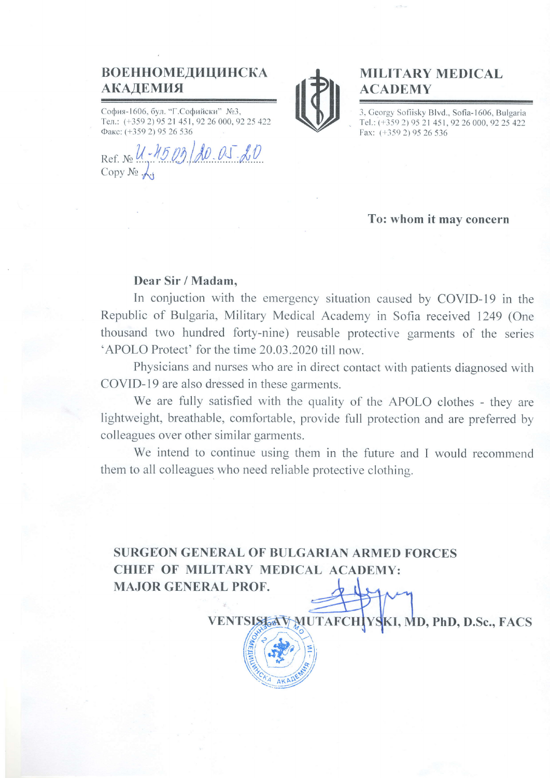## ВОЕННОМЕДИЦИНСКА АКАДЕМИЯ

София-1606, бул. "Г.Софийски" №3, Тел.: (+359 2) 95 21 451, 92 26 000, 92 25 422 Факс: (+359 2) 95 26 536

Ref. No U-4503  $10.05.00$ Copy  $N_2 \downarrow$ .



## MILITARY MEDICAL ACADEMY

3, Georgy Sofiisky Blvd., Sofia-1606, Bulgaria Tel.: (+359 2) 95 21 451, 92 26 000, 92 25 422 Fax: (+359 2) 95 26 536

#### To: whom it mav concern

### Dear Sir / Madam,

In conjuction with the emergency situation caused by COVID-l9 in the Republic of Bulgaria, Military Medical Academy in Sofia received 1249 (One thousand two hundred forty-nine) reusable protective garments of the series 'APOLO Protect' for the time 20.03.2020 till now.

Physicians and nurses who are in direct contact with patients diagnosed with COVID-19 are also dressed in these garments.

We are fully satisfied with the quality of the APOLO clothes - they are lightweight, breathable, comfortable, provide full protection and are preferred by colleagues over other similar garments.

We intend to continue using them in the future and I would recommend them to all colleagues who need reliable protective clothing.

VENTSIS TA MUTAFCH VSKI, MD, PhD, D.Sc., FACS

SURGEON GENERAL OF BULGARIAN ARMED FORCES CHIEF OF MILITARY MEDICAL ACADEMY: MAJOR GENERAL PROF.